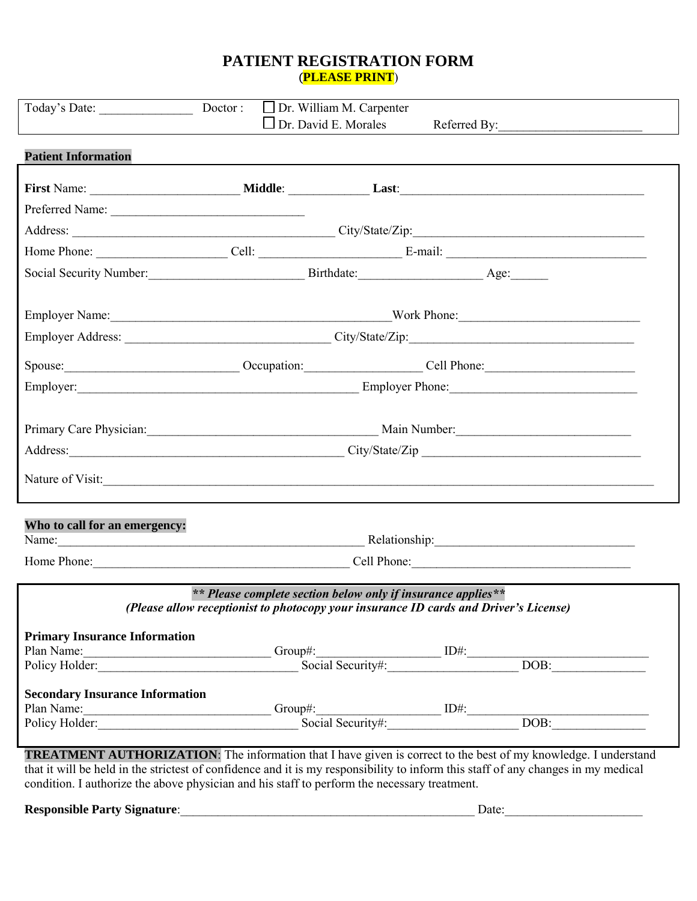### **PATIENT REGISTRATION FORM**  (**PLEASE PRINT**)

| Today's Date:                                                                                                                                                                                                                                                                                                                                               | Doctor : $\Box$ Dr. William M. Carpenter                                                                                                              |  |  | Dr. David E. Morales Referred By: |  |
|-------------------------------------------------------------------------------------------------------------------------------------------------------------------------------------------------------------------------------------------------------------------------------------------------------------------------------------------------------------|-------------------------------------------------------------------------------------------------------------------------------------------------------|--|--|-----------------------------------|--|
| <b>Patient Information</b>                                                                                                                                                                                                                                                                                                                                  |                                                                                                                                                       |  |  |                                   |  |
|                                                                                                                                                                                                                                                                                                                                                             |                                                                                                                                                       |  |  |                                   |  |
| Preferred Name:                                                                                                                                                                                                                                                                                                                                             |                                                                                                                                                       |  |  |                                   |  |
|                                                                                                                                                                                                                                                                                                                                                             |                                                                                                                                                       |  |  |                                   |  |
| Home Phone: Cell: Cell: E-mail: E-mail:                                                                                                                                                                                                                                                                                                                     |                                                                                                                                                       |  |  |                                   |  |
| Social Security Number: Birthdate: Age: Age: Age:                                                                                                                                                                                                                                                                                                           |                                                                                                                                                       |  |  |                                   |  |
|                                                                                                                                                                                                                                                                                                                                                             |                                                                                                                                                       |  |  |                                   |  |
|                                                                                                                                                                                                                                                                                                                                                             |                                                                                                                                                       |  |  |                                   |  |
|                                                                                                                                                                                                                                                                                                                                                             | Spouse: <u>Cell Phone:</u> Cell Phone: Cell Phone:                                                                                                    |  |  |                                   |  |
|                                                                                                                                                                                                                                                                                                                                                             | Employer: Employer Phone: Employer Phone:                                                                                                             |  |  |                                   |  |
|                                                                                                                                                                                                                                                                                                                                                             |                                                                                                                                                       |  |  |                                   |  |
|                                                                                                                                                                                                                                                                                                                                                             | Primary Care Physician: Main Number: Main Number: Main Number:                                                                                        |  |  |                                   |  |
|                                                                                                                                                                                                                                                                                                                                                             | Address: City/State/Zip                                                                                                                               |  |  |                                   |  |
| Nature of Visit:                                                                                                                                                                                                                                                                                                                                            |                                                                                                                                                       |  |  |                                   |  |
| Who to call for an emergency:<br>Name: Name: Name: Name: Name: Nelationship: Nelationship: Nelationship: Nelationship: Nelationship: Nelationship: Nelationship: Nelationship: Nelationship: Nelationship: Nelationship: Nelationship: Nelationship: Nelationsh                                                                                             |                                                                                                                                                       |  |  |                                   |  |
|                                                                                                                                                                                                                                                                                                                                                             | Home Phone: Cell Phone: Cell Phone:                                                                                                                   |  |  |                                   |  |
|                                                                                                                                                                                                                                                                                                                                                             | ** Please complete section below only if insurance applies**<br>(Please allow receptionist to photocopy your insurance ID cards and Driver's License) |  |  |                                   |  |
| <b>Primary Insurance Information</b>                                                                                                                                                                                                                                                                                                                        |                                                                                                                                                       |  |  |                                   |  |
| Plan Name: Group#: Group#: Group#: DH: DOB: DOB: DOB:                                                                                                                                                                                                                                                                                                       |                                                                                                                                                       |  |  |                                   |  |
|                                                                                                                                                                                                                                                                                                                                                             |                                                                                                                                                       |  |  |                                   |  |
| <b>Secondary Insurance Information</b>                                                                                                                                                                                                                                                                                                                      |                                                                                                                                                       |  |  |                                   |  |
|                                                                                                                                                                                                                                                                                                                                                             |                                                                                                                                                       |  |  |                                   |  |
|                                                                                                                                                                                                                                                                                                                                                             |                                                                                                                                                       |  |  |                                   |  |
| <b>TREATMENT AUTHORIZATION:</b> The information that I have given is correct to the best of my knowledge. I understand<br>that it will be held in the strictest of confidence and it is my responsibility to inform this staff of any changes in my medical<br>condition. I authorize the above physician and his staff to perform the necessary treatment. |                                                                                                                                                       |  |  |                                   |  |

**Responsible Party Signature**:\_\_\_\_\_\_\_\_\_\_\_\_\_\_\_\_\_\_\_\_\_\_\_\_\_\_\_\_\_\_\_\_\_\_\_\_\_\_\_\_\_\_\_\_\_\_\_ Date:\_\_\_\_\_\_\_\_\_\_\_\_\_\_\_\_\_\_\_\_\_\_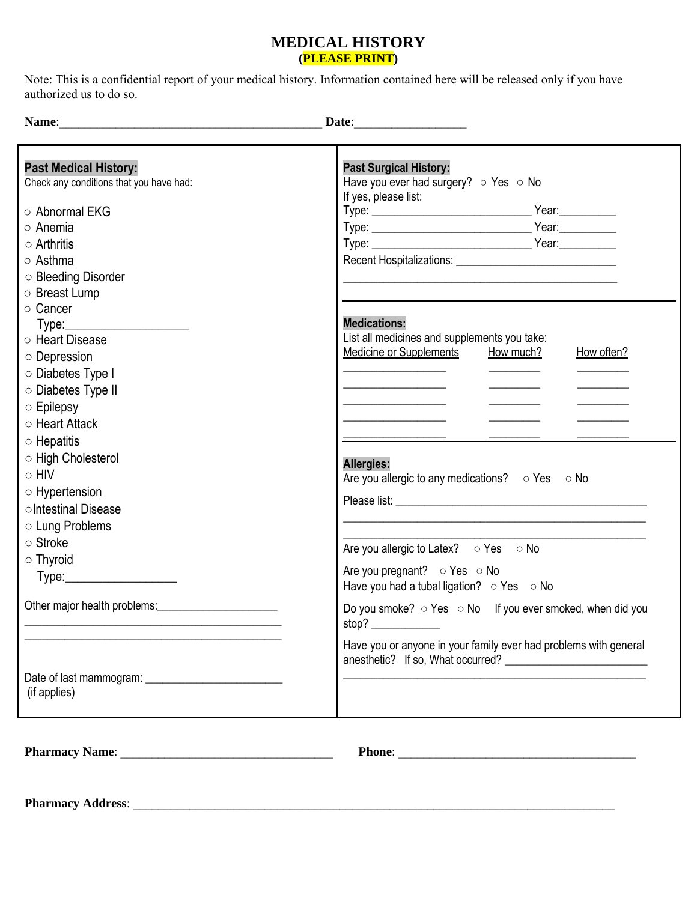### **MEDICAL HISTORY (PLEASE PRINT)**

Note: This is a confidential report of your medical history. Information contained here will be released only if you have authorized us to do so.

**Name**:\_\_\_\_\_\_\_\_\_\_\_\_\_\_\_\_\_\_\_\_\_\_\_\_\_\_\_\_\_\_\_\_\_\_\_\_\_\_\_\_\_\_ **Date**:\_\_\_\_\_\_\_\_\_\_\_\_\_\_\_\_\_\_

| <b>Past Medical History:</b><br>Check any conditions that you have had:                                                                                                                                                                | <b>Past Surgical History:</b><br>Have you ever had surgery? $\circ$ Yes $\circ$ No<br>If yes, please list: |
|----------------------------------------------------------------------------------------------------------------------------------------------------------------------------------------------------------------------------------------|------------------------------------------------------------------------------------------------------------|
| ○ Abnormal EKG                                                                                                                                                                                                                         |                                                                                                            |
| ○ Anemia                                                                                                                                                                                                                               |                                                                                                            |
| $\circ$ Arthritis                                                                                                                                                                                                                      |                                                                                                            |
| ○ Asthma                                                                                                                                                                                                                               |                                                                                                            |
| ○ Bleeding Disorder                                                                                                                                                                                                                    |                                                                                                            |
| ○ Breast Lump                                                                                                                                                                                                                          |                                                                                                            |
| ○ Cancer                                                                                                                                                                                                                               |                                                                                                            |
| Type: <u>__________________________</u>                                                                                                                                                                                                | <b>Medications:</b>                                                                                        |
| ○ Heart Disease                                                                                                                                                                                                                        | List all medicines and supplements you take:                                                               |
| $\circ$ Depression                                                                                                                                                                                                                     | Medicine or Supplements<br>How much?<br>How often?                                                         |
| ○ Diabetes Type I                                                                                                                                                                                                                      |                                                                                                            |
| ○ Diabetes Type II                                                                                                                                                                                                                     |                                                                                                            |
| $\circ$ Epilepsy                                                                                                                                                                                                                       |                                                                                                            |
| ○ Heart Attack                                                                                                                                                                                                                         |                                                                                                            |
| $\circ$ Hepatitis                                                                                                                                                                                                                      |                                                                                                            |
| ○ High Cholesterol                                                                                                                                                                                                                     | <b>Allergies:</b>                                                                                          |
| $\circ$ HIV                                                                                                                                                                                                                            | Are you allergic to any medications? $\circ$ Yes $\circ$ No                                                |
| $\circ$ Hypertension                                                                                                                                                                                                                   |                                                                                                            |
| oIntestinal Disease                                                                                                                                                                                                                    |                                                                                                            |
| o Lung Problems                                                                                                                                                                                                                        |                                                                                                            |
| ○ Stroke                                                                                                                                                                                                                               |                                                                                                            |
| $\circ$ Thyroid                                                                                                                                                                                                                        | Are you allergic to Latex? $\circ$ Yes $\circ$ No                                                          |
| Type:_________________________                                                                                                                                                                                                         | Are you pregnant? $\circ$ Yes $\circ$ No                                                                   |
|                                                                                                                                                                                                                                        | Have you had a tubal ligation? $\circ$ Yes $\circ$ No                                                      |
| Other major health problems:<br><u>Letter and the substantial of the substantial of the substantial of the substantial of the substantial of the substantial of the substantial of the substantial of the substantial of the subst</u> | Do you smoke? o Yes o No If you ever smoked, when did you                                                  |
|                                                                                                                                                                                                                                        | stop?                                                                                                      |
|                                                                                                                                                                                                                                        | Have you or anyone in your family ever had problems with general                                           |
|                                                                                                                                                                                                                                        |                                                                                                            |
| (if applies)                                                                                                                                                                                                                           |                                                                                                            |
|                                                                                                                                                                                                                                        |                                                                                                            |
|                                                                                                                                                                                                                                        |                                                                                                            |

**Pharmacy Name**: \_\_\_\_\_\_\_\_\_\_\_\_\_\_\_\_\_\_\_\_\_\_\_\_\_\_\_\_\_\_\_\_\_\_ **Phone**: \_\_\_\_\_\_\_\_\_\_\_\_\_\_\_\_\_\_\_\_\_\_\_\_\_\_\_\_\_\_\_\_\_\_\_\_\_\_

**Pharmacy Address:**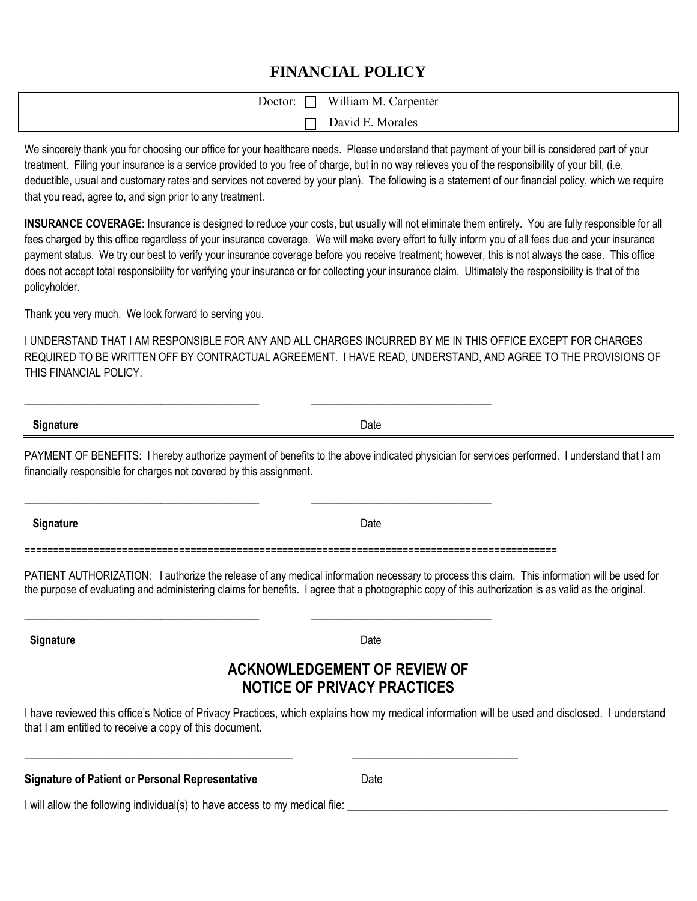# **FINANCIAL POLICY**

| William M. Carpenter<br>$\blacksquare$<br>Doctor: |
|---------------------------------------------------|
| David E. Morales                                  |

We sincerely thank you for choosing our office for your healthcare needs. Please understand that payment of your bill is considered part of your treatment. Filing your insurance is a service provided to you free of charge, but in no way relieves you of the responsibility of your bill, (i.e. deductible, usual and customary rates and services not covered by your plan). The following is a statement of our financial policy, which we require that you read, agree to, and sign prior to any treatment.

**INSURANCE COVERAGE:** Insurance is designed to reduce your costs, but usually will not eliminate them entirely. You are fully responsible for all fees charged by this office regardless of your insurance coverage. We will make every effort to fully inform you of all fees due and your insurance payment status. We try our best to verify your insurance coverage before you receive treatment; however, this is not always the case. This office does not accept total responsibility for verifying your insurance or for collecting your insurance claim. Ultimately the responsibility is that of the policyholder.

Thank you very much. We look forward to serving you.

I UNDERSTAND THAT I AM RESPONSIBLE FOR ANY AND ALL CHARGES INCURRED BY ME IN THIS OFFICE EXCEPT FOR CHARGES REQUIRED TO BE WRITTEN OFF BY CONTRACTUAL AGREEMENT. I HAVE READ, UNDERSTAND, AND AGREE TO THE PROVISIONS OF THIS FINANCIAL POLICY.

**Signature** Date

PAYMENT OF BENEFITS: I hereby authorize payment of benefits to the above indicated physician for services performed. I understand that I am financially responsible for charges not covered by this assignment.

**Signature** Date

=============================================================================================

\_\_\_\_\_\_\_\_\_\_\_\_\_\_\_\_\_\_\_\_\_\_\_\_\_\_\_\_\_\_\_\_\_\_\_\_\_\_\_\_\_\_\_ \_\_\_\_\_\_\_\_\_\_\_\_\_\_\_\_\_\_\_\_\_\_\_\_\_\_\_\_\_\_\_\_\_

\_\_\_\_\_\_\_\_\_\_\_\_\_\_\_\_\_\_\_\_\_\_\_\_\_\_\_\_\_\_\_\_\_\_\_\_\_\_\_\_\_\_\_ \_\_\_\_\_\_\_\_\_\_\_\_\_\_\_\_\_\_\_\_\_\_\_\_\_\_\_\_\_\_\_\_\_

\_\_\_\_\_\_\_\_\_\_\_\_\_\_\_\_\_\_\_\_\_\_\_\_\_\_\_\_\_\_\_\_\_\_\_\_\_\_\_\_\_\_\_ \_\_\_\_\_\_\_\_\_\_\_\_\_\_\_\_\_\_\_\_\_\_\_\_\_\_\_\_\_\_\_\_\_

\_\_\_\_\_\_\_\_\_\_\_\_\_\_\_\_\_\_\_\_\_\_\_\_\_\_\_\_\_\_\_\_\_\_\_\_\_\_\_\_\_\_\_\_\_\_\_ \_\_\_\_\_\_\_\_\_\_\_\_\_\_\_\_\_\_\_\_\_\_\_\_\_\_\_\_\_

PATIENT AUTHORIZATION: I authorize the release of any medical information necessary to process this claim. This information will be used for the purpose of evaluating and administering claims for benefits. I agree that a photographic copy of this authorization is as valid as the original.

**Signature** Date

# **ACKNOWLEDGEMENT OF REVIEW OF NOTICE OF PRIVACY PRACTICES**

I have reviewed this office's Notice of Privacy Practices, which explains how my medical information will be used and disclosed. I understand that I am entitled to receive a copy of this document.

| <b>Signature of Patient or Personal Representative</b> | Date |
|--------------------------------------------------------|------|
|                                                        |      |

I will allow the following individual(s) to have access to my medical file: